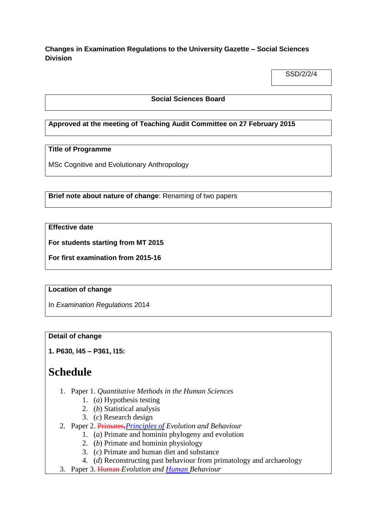**Changes in Examination Regulations to the University Gazette – Social Sciences Division**

SSD/2/2/4

## **Social Sciences Board**

## **Approved at the meeting of Teaching Audit Committee on 27 February 2015**

## **Title of Programme**

MSc Cognitive and Evolutionary Anthropology

**Brief note about nature of change**: Renaming of two papers

## **Effective date**

**For students starting from MT 2015**

**For first examination from 2015-16**

#### **Location of change**

In *Examination Regulations* 2014

## **Detail of change**

**1. P630, l45 – P361, l15:**

# **Schedule**

- 1. Paper 1. *Quantitative Methods in the Human Sciences*
	- 1. (*a*) Hypothesis testing
	- 2. (*b*) Statistical analysis
	- 3. (*c*) Research design
- 2. Paper 2. Primates,*Principles of Evolution and Behaviour*
	- 1. (*a*) Primate and hominin phylogeny and evolution
		- 2. (*b*) Primate and hominin physiology
		- 3. (*c*) Primate and human diet and substance
	- 4. (*d*) Reconstructing past behaviour from primatology and archaeology
- 3. Paper 3. Human *Evolution and Human Behaviour*